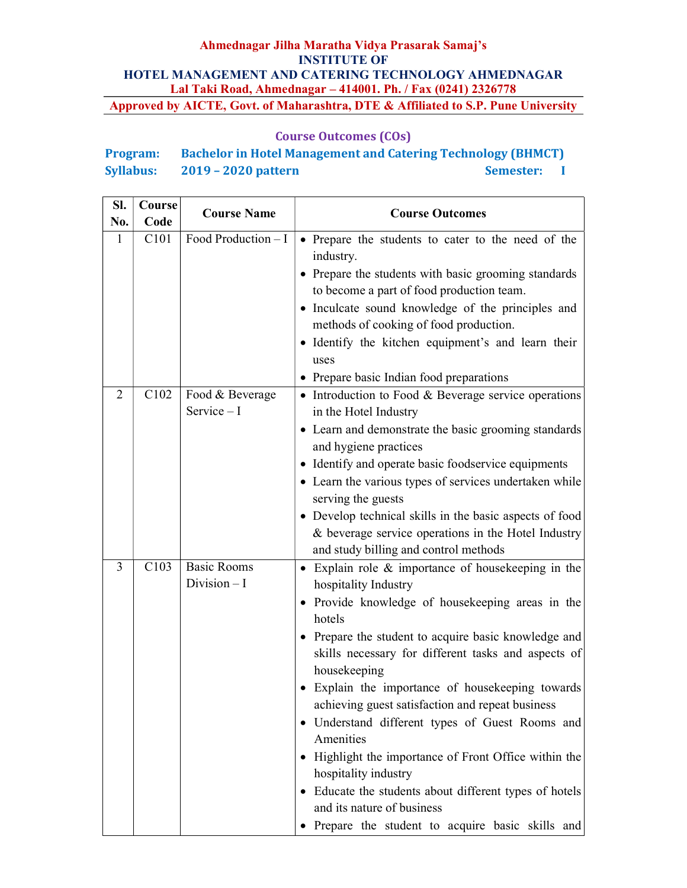## Course Outcomes (COs)

# Program: Bachelor in Hotel Management and Catering Technology (BHMCT) Syllabus: 2019 – 2020 pattern Semester: I

| Sl.<br>No. | Course<br>Code | <b>Course Name</b>                  | <b>Course Outcomes</b>                                                                                                                                                                                                                                                                                                                                                                                                                                                                                                                                                                                                                                                                     |
|------------|----------------|-------------------------------------|--------------------------------------------------------------------------------------------------------------------------------------------------------------------------------------------------------------------------------------------------------------------------------------------------------------------------------------------------------------------------------------------------------------------------------------------------------------------------------------------------------------------------------------------------------------------------------------------------------------------------------------------------------------------------------------------|
| 1          | C101           | Food Production $- I$               | • Prepare the students to cater to the need of the<br>industry.<br>• Prepare the students with basic grooming standards<br>to become a part of food production team.<br>• Inculcate sound knowledge of the principles and<br>methods of cooking of food production.<br>· Identify the kitchen equipment's and learn their<br>uses<br>• Prepare basic Indian food preparations                                                                                                                                                                                                                                                                                                              |
| 2          | C102           | Food & Beverage<br>Service $-I$     | • Introduction to Food & Beverage service operations<br>in the Hotel Industry<br>• Learn and demonstrate the basic grooming standards<br>and hygiene practices<br>• Identify and operate basic foodservice equipments<br>• Learn the various types of services undertaken while<br>serving the guests<br>• Develop technical skills in the basic aspects of food<br>& beverage service operations in the Hotel Industry<br>and study billing and control methods                                                                                                                                                                                                                           |
| 3          | C103           | <b>Basic Rooms</b><br>Division $-I$ | Explain role $\&$ importance of house keeping in the<br>$\bullet$<br>hospitality Industry<br>• Provide knowledge of housekeeping areas in the<br>hotels<br>• Prepare the student to acquire basic knowledge and<br>skills necessary for different tasks and aspects of<br>housekeeping<br>· Explain the importance of housekeeping towards<br>achieving guest satisfaction and repeat business<br>· Understand different types of Guest Rooms and<br>Amenities<br>Highlight the importance of Front Office within the<br>hospitality industry<br>• Educate the students about different types of hotels<br>and its nature of business<br>· Prepare the student to acquire basic skills and |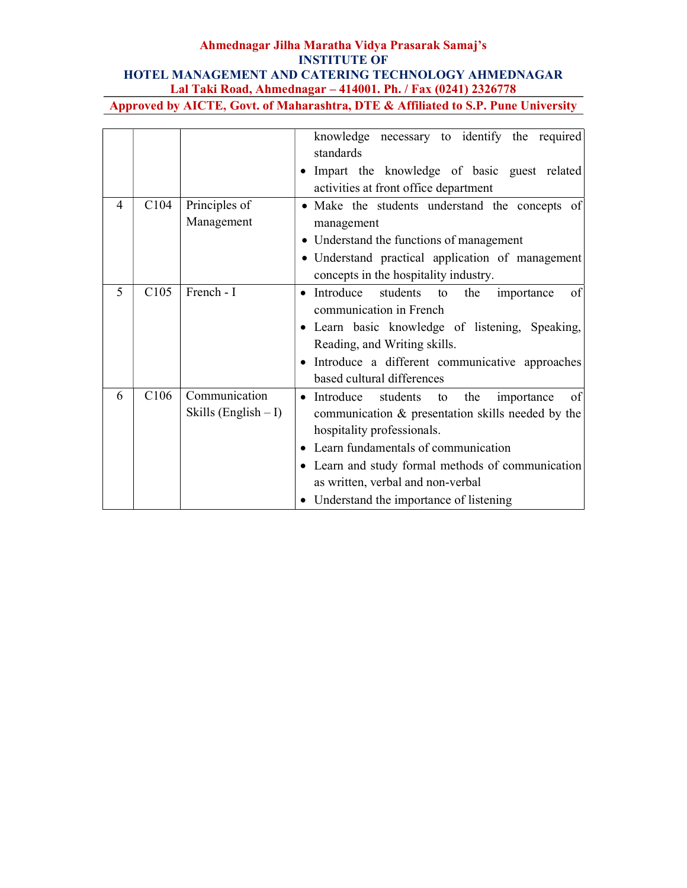|   |                  |                                          | knowledge necessary to identify the required<br>standards<br>• Impart the knowledge of basic guest related                                                                                                                                                                                                                      |
|---|------------------|------------------------------------------|---------------------------------------------------------------------------------------------------------------------------------------------------------------------------------------------------------------------------------------------------------------------------------------------------------------------------------|
|   |                  |                                          | activities at front office department                                                                                                                                                                                                                                                                                           |
| 4 | C <sub>104</sub> | Principles of<br>Management              | • Make the students understand the concepts of<br>management                                                                                                                                                                                                                                                                    |
|   |                  |                                          | • Understand the functions of management<br>· Understand practical application of management<br>concepts in the hospitality industry.                                                                                                                                                                                           |
| 5 | C <sub>105</sub> | French - I                               | • Introduce<br>students<br>the<br>οf<br>to<br>importance<br>communication in French<br>• Learn basic knowledge of listening, Speaking,<br>Reading, and Writing skills.<br>· Introduce a different communicative approaches<br>based cultural differences                                                                        |
| 6 | C <sub>106</sub> | Communication<br>Skills (English $- I$ ) | $\bullet$ Introduce<br>students<br>to the<br>importance<br>of<br>communication & presentation skills needed by the<br>hospitality professionals.<br>• Learn fundamentals of communication<br>• Learn and study formal methods of communication<br>as written, verbal and non-verbal<br>• Understand the importance of listening |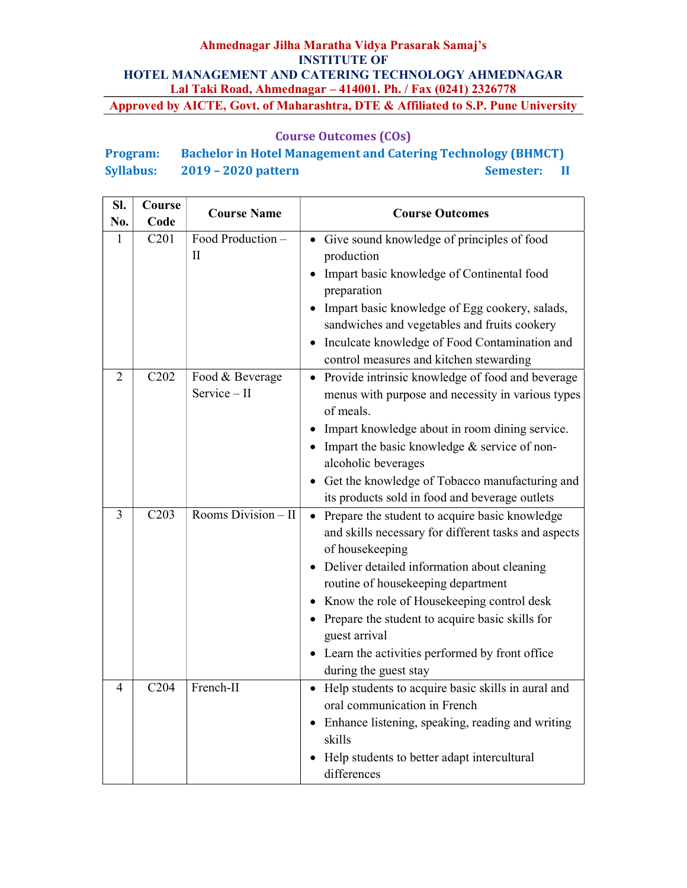| <b>Program:</b>  | <b>Bachelor in Hotel Management and Catering Technology (BHMCT)</b> |                  |      |
|------------------|---------------------------------------------------------------------|------------------|------|
| <b>Syllabus:</b> | 2019 – 2020 pattern                                                 | <b>Semester:</b> | - 11 |

| SI.<br>No.     | Course<br>Code    | <b>Course Name</b>                | <b>Course Outcomes</b>                                                                                                                                                                                                                                                                                                                                                                                                                                 |
|----------------|-------------------|-----------------------------------|--------------------------------------------------------------------------------------------------------------------------------------------------------------------------------------------------------------------------------------------------------------------------------------------------------------------------------------------------------------------------------------------------------------------------------------------------------|
| 1              | C201              | Food Production -<br>$\mathbf{I}$ | • Give sound knowledge of principles of food<br>production<br>Impart basic knowledge of Continental food<br>preparation<br>Impart basic knowledge of Egg cookery, salads,<br>$\bullet$<br>sandwiches and vegetables and fruits cookery<br>Inculcate knowledge of Food Contamination and<br>$\bullet$<br>control measures and kitchen stewarding                                                                                                        |
| $\overline{2}$ | $\overline{C}202$ | Food & Beverage<br>Service - II   | Provide intrinsic knowledge of food and beverage<br>$\bullet$<br>menus with purpose and necessity in various types<br>of meals.<br>Impart knowledge about in room dining service.<br>$\bullet$<br>Impart the basic knowledge & service of non-<br>alcoholic beverages<br>• Get the knowledge of Tobacco manufacturing and<br>its products sold in food and beverage outlets                                                                            |
| 3              | C203              | Rooms Division - II               | Prepare the student to acquire basic knowledge<br>$\bullet$<br>and skills necessary for different tasks and aspects<br>of housekeeping<br>Deliver detailed information about cleaning<br>$\bullet$<br>routine of housekeeping department<br>Know the role of Housekeeping control desk<br>$\bullet$<br>• Prepare the student to acquire basic skills for<br>guest arrival<br>• Learn the activities performed by front office<br>during the guest stay |
| 4              | C <sub>204</sub>  | French-II                         | • Help students to acquire basic skills in aural and<br>oral communication in French<br>Enhance listening, speaking, reading and writing<br>$\bullet$<br>skills<br>Help students to better adapt intercultural<br>differences                                                                                                                                                                                                                          |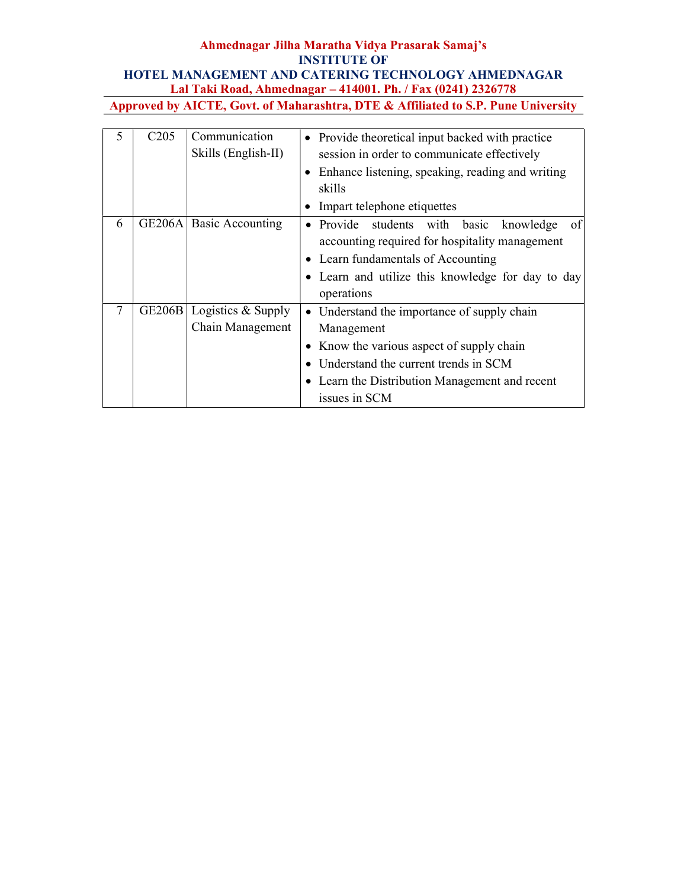| 5 | C <sub>205</sub> | Communication<br>Skills (English-II)   | • Provide theoretical input backed with practice<br>session in order to communicate effectively<br>• Enhance listening, speaking, reading and writing<br>skills<br>• Impart telephone etiquettes                    |
|---|------------------|----------------------------------------|---------------------------------------------------------------------------------------------------------------------------------------------------------------------------------------------------------------------|
| 6 |                  | GE206A Basic Accounting                | Provide<br>students with<br>basic<br>knowledge<br>of<br>accounting required for hospitality management<br>• Learn fundamentals of Accounting<br>• Learn and utilize this knowledge for day to day<br>operations     |
|   | <b>GE206B</b>    | Logistics & Supply<br>Chain Management | • Understand the importance of supply chain<br>Management<br>• Know the various aspect of supply chain<br>• Understand the current trends in SCM<br>• Learn the Distribution Management and recent<br>issues in SCM |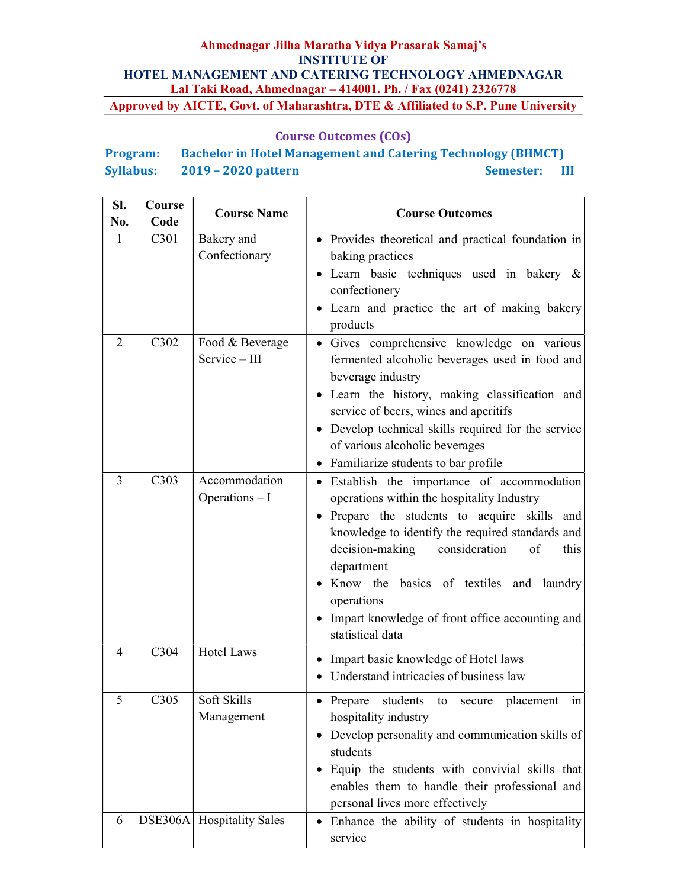## Course Outcomes (COs)

# Program: Bachelor in Hotel Management and Catering Technology (BHMCT) Syllabus: 2019 – 2020 pattern Semester: III

| SI.<br>No.   | Course<br>Code | <b>Course Name</b>               | <b>Course Outcomes</b>                                                                                                                                                                                                                                                                                                                                                                        |
|--------------|----------------|----------------------------------|-----------------------------------------------------------------------------------------------------------------------------------------------------------------------------------------------------------------------------------------------------------------------------------------------------------------------------------------------------------------------------------------------|
| $\mathbf{1}$ | C301           | Bakery and<br>Confectionary      | • Provides theoretical and practical foundation in<br>baking practices<br>• Learn basic techniques used in bakery &<br>confectionery<br>• Learn and practice the art of making bakery<br>products                                                                                                                                                                                             |
| 2            | C302           | Food & Beverage<br>Service - III | · Gives comprehensive knowledge on various<br>fermented alcoholic beverages used in food and<br>beverage industry<br>· Learn the history, making classification and<br>service of beers, wines and aperitifs<br>• Develop technical skills required for the service<br>of various alcoholic beverages<br>• Familiarize students to bar profile                                                |
| 3            | C303           | Accommodation<br>Operations - I  | • Establish the importance of accommodation<br>operations within the hospitality Industry<br>• Prepare the students to acquire skills and<br>knowledge to identify the required standards and<br>consideration<br>decision-making<br>of<br>this<br>department<br>Know the basics of textiles and laundry<br>operations<br>Impart knowledge of front office accounting and<br>statistical data |
| 4            | C304           | <b>Hotel Laws</b>                | Impart basic knowledge of Hotel laws<br>Understand intricacies of business law                                                                                                                                                                                                                                                                                                                |
| 5            | C305           | Soft Skills<br>Management        | $\left  \text{in} \right $<br>• Prepare students to secure placement<br>hospitality industry<br>Develop personality and communication skills of<br>$\bullet$<br>students<br>Equip the students with convivial skills that<br>$\bullet$<br>enables them to handle their professional and<br>personal lives more effectively                                                                    |
| 6            |                | DSE306A Hospitality Sales        | • Enhance the ability of students in hospitality<br>service                                                                                                                                                                                                                                                                                                                                   |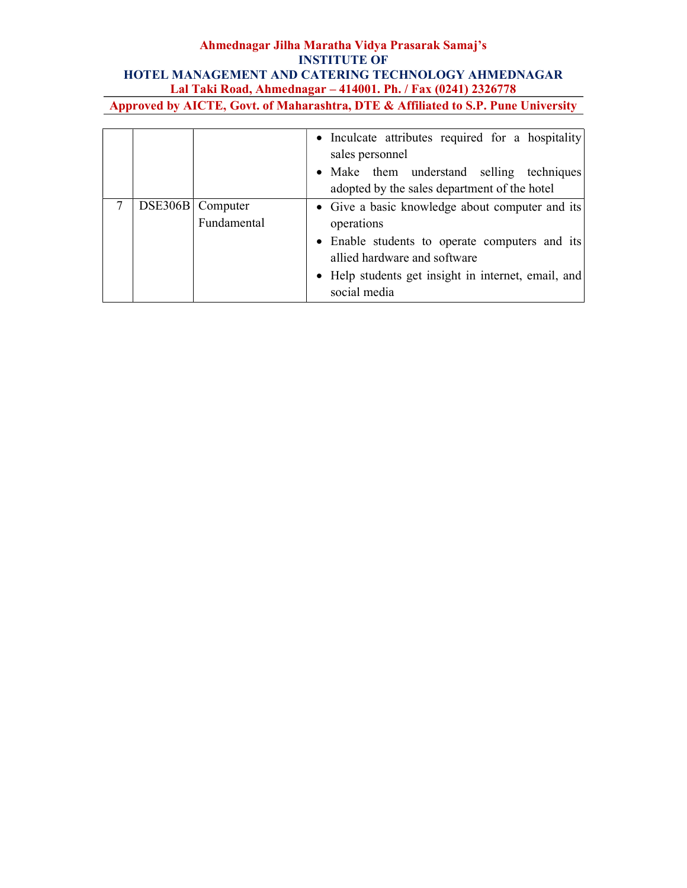|  |                                   | • Inculcate attributes required for a hospitality<br>sales personnel<br>• Make them understand selling techniques<br>adopted by the sales department of the hotel                                                      |
|--|-----------------------------------|------------------------------------------------------------------------------------------------------------------------------------------------------------------------------------------------------------------------|
|  | DSE306B   Computer<br>Fundamental | • Give a basic knowledge about computer and its<br>operations<br>• Enable students to operate computers and its<br>allied hardware and software<br>• Help students get insight in internet, email, and<br>social media |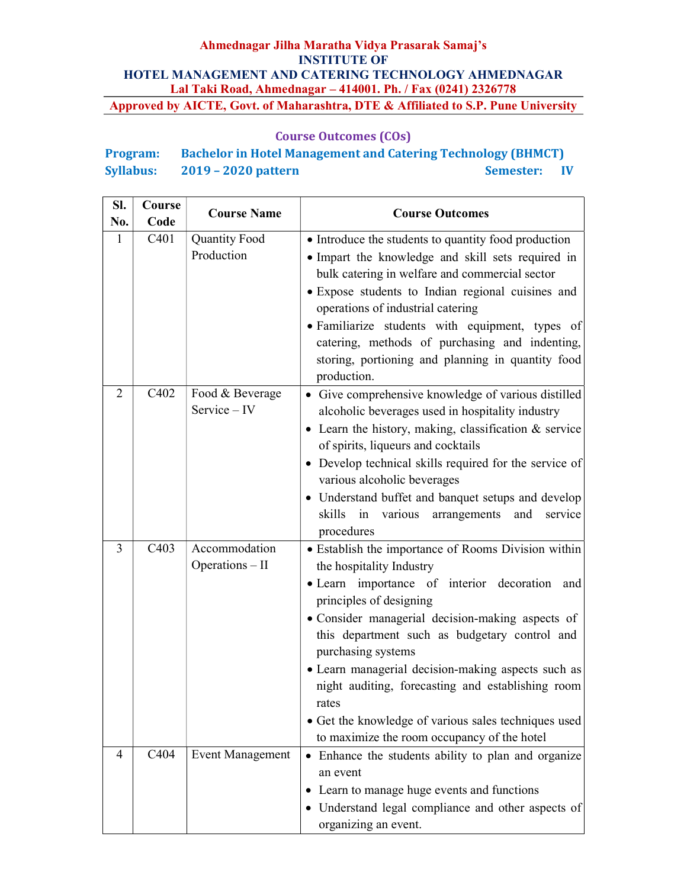| <b>Program:</b>  | <b>Bachelor in Hotel Management and Catering Technology (BHMCT)</b> |                  |                |
|------------------|---------------------------------------------------------------------|------------------|----------------|
| <b>Syllabus:</b> | $2019 - 2020$ pattern                                               | <b>Semester:</b> | $\blacksquare$ |

| SI.<br>No.   | Course<br>Code    | <b>Course Name</b>                 | <b>Course Outcomes</b>                                                                                                                                                                                                                                                                                                                                                                                                                                                                                            |
|--------------|-------------------|------------------------------------|-------------------------------------------------------------------------------------------------------------------------------------------------------------------------------------------------------------------------------------------------------------------------------------------------------------------------------------------------------------------------------------------------------------------------------------------------------------------------------------------------------------------|
| $\mathbf{1}$ | C <sub>401</sub>  | <b>Quantity Food</b><br>Production | • Introduce the students to quantity food production<br>· Impart the knowledge and skill sets required in<br>bulk catering in welfare and commercial sector<br>· Expose students to Indian regional cuisines and<br>operations of industrial catering<br>· Familiarize students with equipment, types of<br>catering, methods of purchasing and indenting,<br>storing, portioning and planning in quantity food<br>production.                                                                                    |
| 2            | C402              | Food & Beverage<br>Service - IV    | • Give comprehensive knowledge of various distilled<br>alcoholic beverages used in hospitality industry<br>• Learn the history, making, classification & service<br>of spirits, liqueurs and cocktails<br>• Develop technical skills required for the service of<br>various alcoholic beverages<br>• Understand buffet and banquet setups and develop<br>skills in various arrangements<br>and<br>service<br>procedures                                                                                           |
| 3            | C <sub>4</sub> 03 | Accommodation<br>$Operations - II$ | • Establish the importance of Rooms Division within<br>the hospitality Industry<br>• Learn importance of interior decoration and<br>principles of designing<br>• Consider managerial decision-making aspects of<br>this department such as budgetary control and<br>purchasing systems<br>• Learn managerial decision-making aspects such as<br>night auditing, forecasting and establishing room<br>rates<br>• Get the knowledge of various sales techniques used<br>to maximize the room occupancy of the hotel |
| 4            | C404              | <b>Event Management</b>            | • Enhance the students ability to plan and organize<br>an event<br>• Learn to manage huge events and functions<br>• Understand legal compliance and other aspects of<br>organizing an event.                                                                                                                                                                                                                                                                                                                      |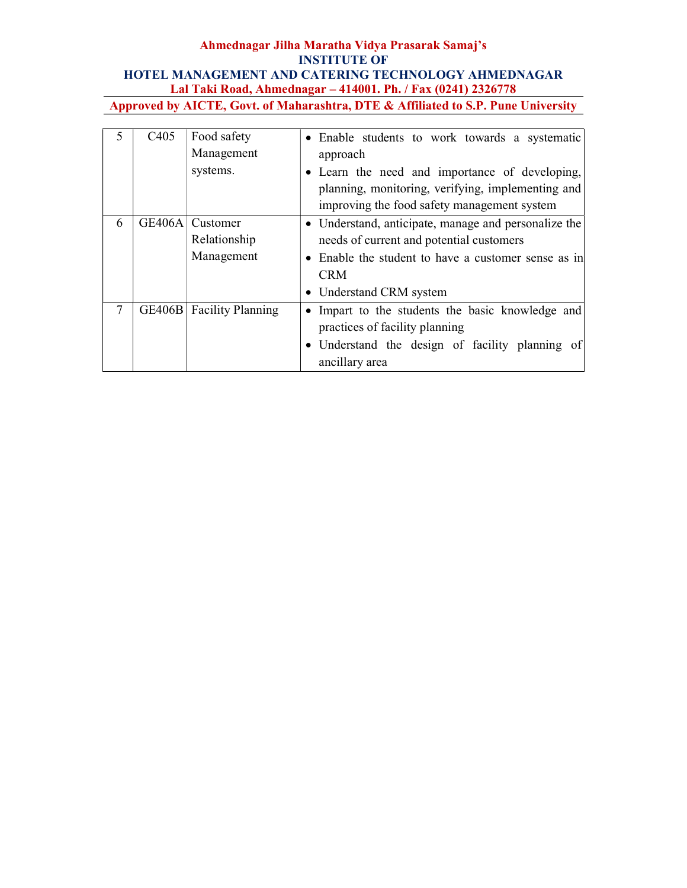|   | C <sub>4</sub> 05 | Food safety<br>Management<br>systems.  | • Enable students to work towards a systematic<br>approach<br>• Learn the need and importance of developing,<br>planning, monitoring, verifying, implementing and<br>improving the food safety management system |
|---|-------------------|----------------------------------------|------------------------------------------------------------------------------------------------------------------------------------------------------------------------------------------------------------------|
| 6 | <b>GE406A</b>     | Customer<br>Relationship<br>Management | • Understand, anticipate, manage and personalize the<br>needs of current and potential customers<br>• Enable the student to have a customer sense as in<br><b>CRM</b><br>• Understand CRM system                 |
| 7 | <b>GE406B</b>     | <b>Facility Planning</b>               | • Impart to the students the basic knowledge and<br>practices of facility planning<br>• Understand the design of facility planning of<br>ancillary area                                                          |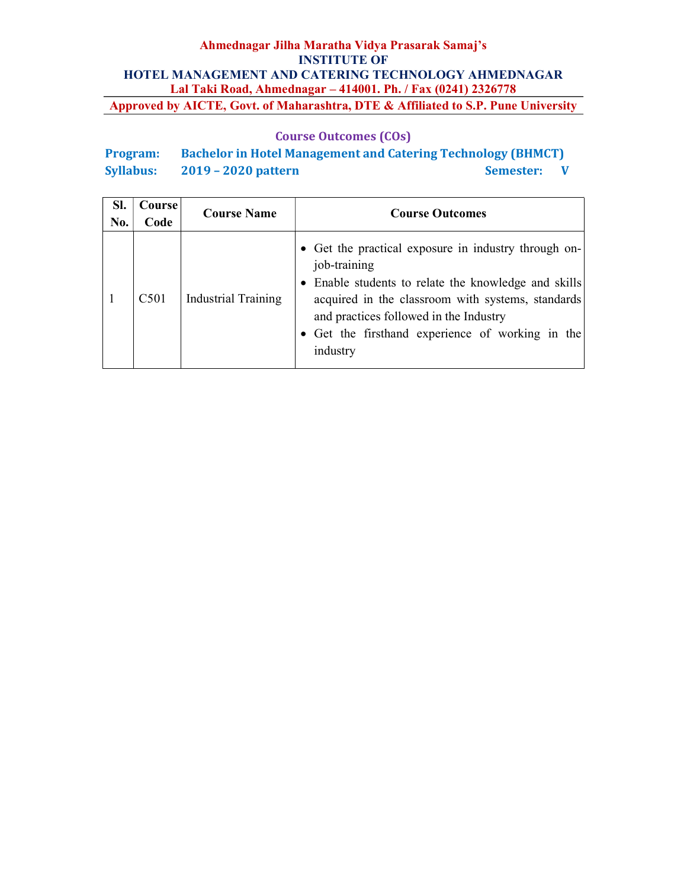## Course Outcomes (COs)

Program: Bachelor in Hotel Management and Catering Technology (BHMCT) Syllabus: 2019 – 2020 pattern Semester: V

| SI.<br>No. | Course<br>Code | <b>Course Name</b>         | <b>Course Outcomes</b>                                                                                                                                                                                                                                                                    |
|------------|----------------|----------------------------|-------------------------------------------------------------------------------------------------------------------------------------------------------------------------------------------------------------------------------------------------------------------------------------------|
|            | C501           | <b>Industrial Training</b> | • Get the practical exposure in industry through on-<br>job-training<br>Enable students to relate the knowledge and skills<br>acquired in the classroom with systems, standards<br>and practices followed in the Industry<br>• Get the firsthand experience of working in the<br>industry |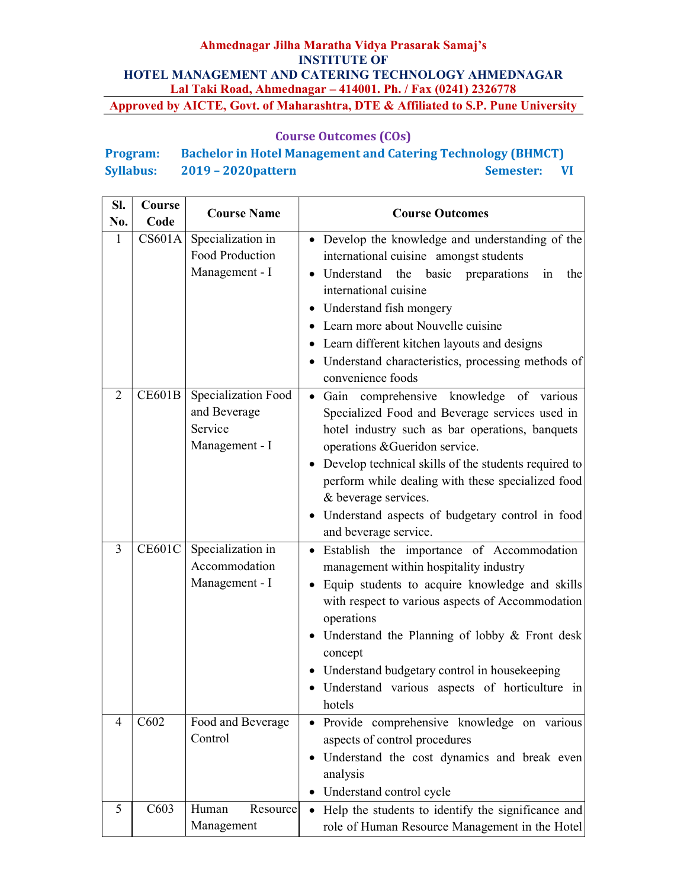## Course Outcomes (COs)

# Program: Bachelor in Hotel Management and Catering Technology (BHMCT) Syllabus: 2019 – 2020 pattern Semester: VI

| Sl.<br>No. | Course<br>Code | <b>Course Name</b>                                               | <b>Course Outcomes</b>                                                                                                                                                                                                                                                                                                                                                                                |
|------------|----------------|------------------------------------------------------------------|-------------------------------------------------------------------------------------------------------------------------------------------------------------------------------------------------------------------------------------------------------------------------------------------------------------------------------------------------------------------------------------------------------|
| 1          | CS601A         | Specialization in<br>Food Production<br>Management - I           | • Develop the knowledge and understanding of the<br>international cuisine amongst students<br>• Understand the basic preparations<br>the<br>in<br>international cuisine<br>• Understand fish mongery<br>• Learn more about Nouvelle cuisine<br>• Learn different kitchen layouts and designs<br>• Understand characteristics, processing methods of<br>convenience foods                              |
| 2          | <b>CE601B</b>  | Specialization Food<br>and Beverage<br>Service<br>Management - I | · Gain comprehensive knowledge of various<br>Specialized Food and Beverage services used in<br>hotel industry such as bar operations, banquets<br>operations & Gueridon service.<br>• Develop technical skills of the students required to<br>perform while dealing with these specialized food<br>& beverage services.<br>• Understand aspects of budgetary control in food<br>and beverage service. |
| 3          | <b>CE601C</b>  | Specialization in<br>Accommodation<br>Management - I             | Establish the importance of Accommodation<br>$\bullet$<br>management within hospitality industry<br>• Equip students to acquire knowledge and skills<br>with respect to various aspects of Accommodation<br>operations<br>• Understand the Planning of lobby & Front desk<br>concept<br>• Understand budgetary control in housekeeping<br>· Understand various aspects of horticulture in<br>hotels   |
| 4          | C602           | Food and Beverage<br>Control                                     | Provide comprehensive knowledge on various<br>aspects of control procedures<br>Understand the cost dynamics and break even<br>analysis<br>Understand control cycle<br>$\bullet$                                                                                                                                                                                                                       |
| 5          | C603           | Human<br>Resource<br>Management                                  | Help the students to identify the significance and<br>$\bullet$<br>role of Human Resource Management in the Hotel                                                                                                                                                                                                                                                                                     |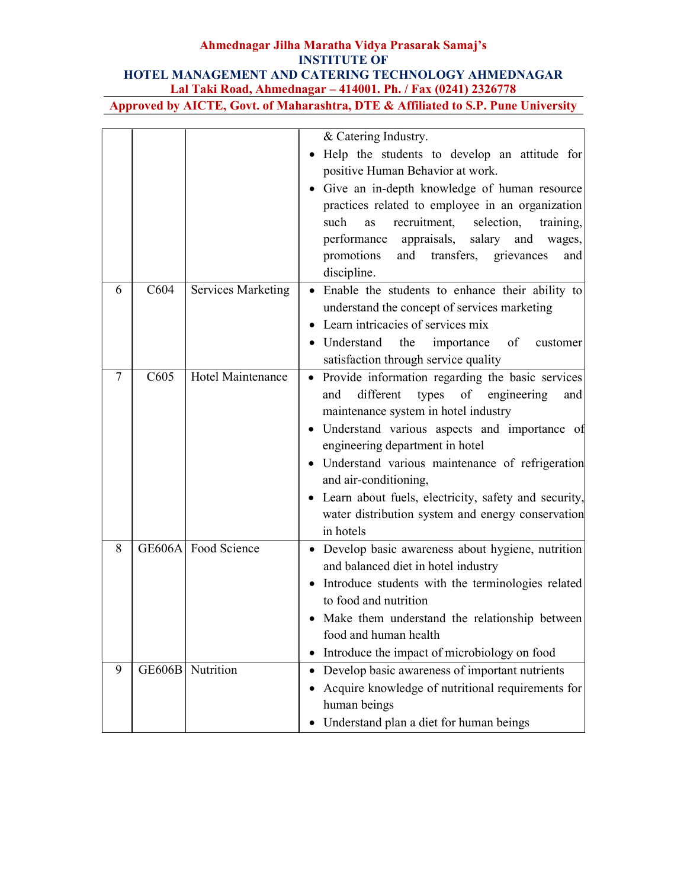|   |               |                          | & Catering Industry.                                                              |
|---|---------------|--------------------------|-----------------------------------------------------------------------------------|
|   |               |                          | Help the students to develop an attitude for<br>$\bullet$                         |
|   |               |                          | positive Human Behavior at work.                                                  |
|   |               |                          | Give an in-depth knowledge of human resource                                      |
|   |               |                          | practices related to employee in an organization                                  |
|   |               |                          | such<br>recruitment,<br>selection,<br>training,<br>as                             |
|   |               |                          | performance appraisals, salary and wages,                                         |
|   |               |                          | and transfers, grievances<br>promotions<br>and                                    |
|   |               |                          | discipline.                                                                       |
| 6 | C604          | Services Marketing       | • Enable the students to enhance their ability to                                 |
|   |               |                          | understand the concept of services marketing                                      |
|   |               |                          | Learn intricacies of services mix                                                 |
|   |               |                          | • Understand<br>the<br>importance<br>of<br>customer                               |
|   |               |                          | satisfaction through service quality                                              |
| 7 | C605          | <b>Hotel Maintenance</b> | Provide information regarding the basic services<br>$\bullet$                     |
|   |               |                          | different<br>types<br>of engineering<br>and<br>and                                |
|   |               |                          | maintenance system in hotel industry                                              |
|   |               |                          | · Understand various aspects and importance of<br>engineering department in hotel |
|   |               |                          | · Understand various maintenance of refrigeration                                 |
|   |               |                          | and air-conditioning,                                                             |
|   |               |                          | • Learn about fuels, electricity, safety and security,                            |
|   |               |                          | water distribution system and energy conservation                                 |
|   |               |                          | in hotels                                                                         |
| 8 |               | GE606A Food Science      | · Develop basic awareness about hygiene, nutrition                                |
|   |               |                          | and balanced diet in hotel industry                                               |
|   |               |                          | Introduce students with the terminologies related<br>$\bullet$                    |
|   |               |                          | to food and nutrition                                                             |
|   |               |                          | Make them understand the relationship between<br>food and human health            |
|   |               |                          | Introduce the impact of microbiology on food<br>$\bullet$                         |
| 9 | <b>GE606B</b> | Nutrition                | Develop basic awareness of important nutrients                                    |
|   |               |                          | Acquire knowledge of nutritional requirements for                                 |
|   |               |                          | human beings                                                                      |
|   |               |                          | • Understand plan a diet for human beings                                         |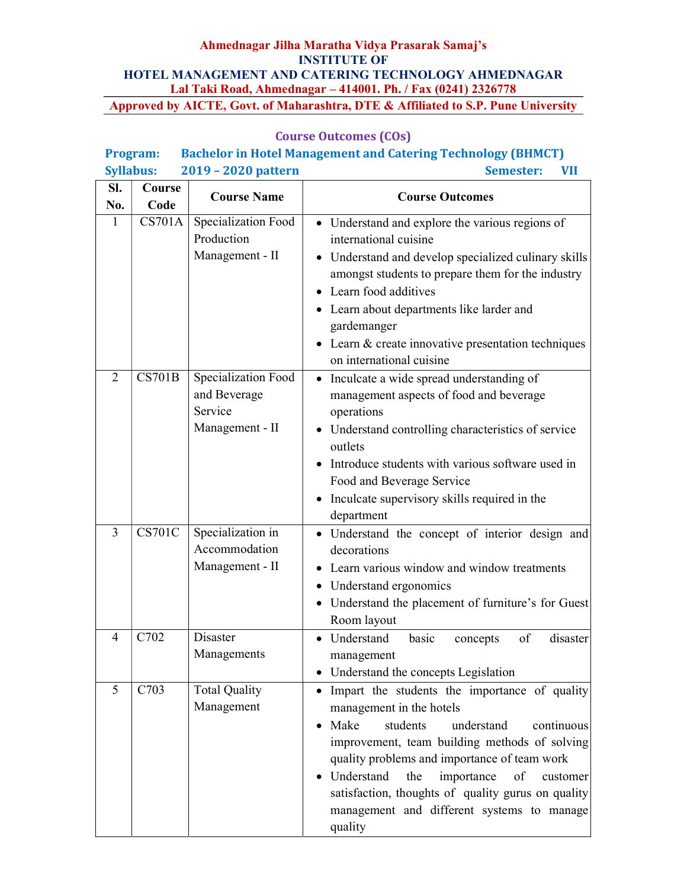|                                         | Program:      |                      | <b>Bachelor in Hotel Management and Catering Technology (BHMCT)</b>     |
|-----------------------------------------|---------------|----------------------|-------------------------------------------------------------------------|
| 2019 - 2020 pattern<br><b>Syllabus:</b> |               |                      | <b>Semester:</b><br><b>VII</b>                                          |
| SI.                                     | Course        | <b>Course Name</b>   | <b>Course Outcomes</b>                                                  |
| No.                                     | Code          |                      |                                                                         |
| 1                                       | CS701A        | Specialization Food  | • Understand and explore the various regions of                         |
|                                         |               | Production           | international cuisine                                                   |
|                                         |               | Management - II      | Understand and develop specialized culinary skills                      |
|                                         |               |                      | amongst students to prepare them for the industry                       |
|                                         |               |                      | Learn food additives<br>$\bullet$                                       |
|                                         |               |                      | Learn about departments like larder and                                 |
|                                         |               |                      | gardemanger                                                             |
|                                         |               |                      | • Learn & create innovative presentation techniques                     |
|                                         |               |                      | on international cuisine                                                |
| $\overline{2}$                          | CS701B        | Specialization Food  | • Inculcate a wide spread understanding of                              |
|                                         |               | and Beverage         | management aspects of food and beverage                                 |
|                                         |               | Service              | operations                                                              |
|                                         |               | Management - II      | • Understand controlling characteristics of service                     |
|                                         |               |                      | outlets                                                                 |
|                                         |               |                      | Introduce students with various software used in                        |
|                                         |               |                      | Food and Beverage Service                                               |
|                                         |               |                      | Inculcate supervisory skills required in the<br>$\bullet$<br>department |
| 3                                       | <b>CS701C</b> | Specialization in    | • Understand the concept of interior design and                         |
|                                         |               | Accommodation        | decorations                                                             |
|                                         |               | Management - II      | Learn various window and window treatments                              |
|                                         |               |                      | Understand ergonomics<br>$\bullet$                                      |
|                                         |               |                      | • Understand the placement of furniture's for Guest                     |
|                                         |               |                      | Room layout                                                             |
| 4                                       | C702          | Disaster             | • Understand<br>basic<br>disaster<br>of<br>concepts                     |
|                                         |               | Managements          | management                                                              |
|                                         |               |                      | Understand the concepts Legislation                                     |
| 5                                       | C703          | <b>Total Quality</b> | • Impart the students the importance of quality                         |
|                                         |               | Management           | management in the hotels                                                |
|                                         |               |                      | Make<br>students<br>understand<br>continuous                            |
|                                         |               |                      | improvement, team building methods of solving                           |
|                                         |               |                      | quality problems and importance of team work                            |
|                                         |               |                      | Understand<br>the<br>importance<br>of<br>customer                       |
|                                         |               |                      | satisfaction, thoughts of quality gurus on quality                      |
|                                         |               |                      | management and different systems to manage                              |
|                                         |               |                      | quality                                                                 |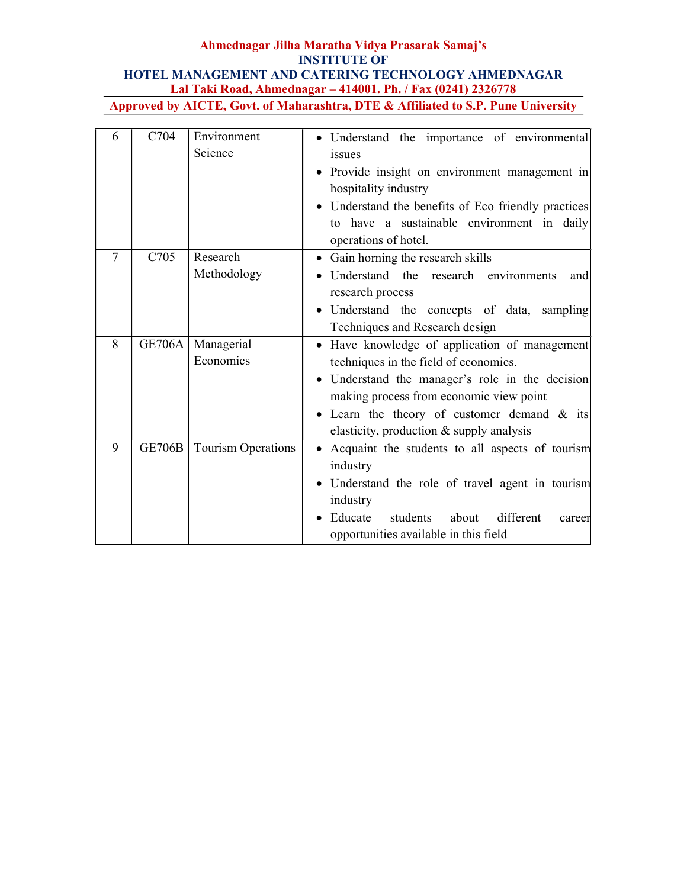| 6      | C704          | Environment        | Understand the importance of environmental               |
|--------|---------------|--------------------|----------------------------------------------------------|
|        |               | Science            | issues                                                   |
|        |               |                    | Provide insight on environment management in             |
|        |               |                    | hospitality industry                                     |
|        |               |                    | • Understand the benefits of Eco friendly practices      |
|        |               |                    | to have a sustainable environment in daily               |
|        |               |                    | operations of hotel.                                     |
| $\tau$ | C705          | Research           | Gain horning the research skills<br>$\bullet$            |
|        |               | Methodology        | Understand the research environments<br>and              |
|        |               |                    | research process                                         |
|        |               |                    | Understand the concepts of data, sampling                |
|        |               |                    | Techniques and Research design                           |
| 8      | <b>GE706A</b> | Managerial         | Have knowledge of application of management<br>$\bullet$ |
|        |               | Economics          | techniques in the field of economics.                    |
|        |               |                    | • Understand the manager's role in the decision          |
|        |               |                    | making process from economic view point                  |
|        |               |                    | • Learn the theory of customer demand & its              |
|        |               |                    | elasticity, production & supply analysis                 |
| 9      | <b>GE706B</b> | Tourism Operations | • Acquaint the students to all aspects of tourism        |
|        |               |                    | industry                                                 |
|        |               |                    | Understand the role of travel agent in tourism           |
|        |               |                    | industry                                                 |
|        |               |                    | different<br>Educate<br>students<br>about<br>career      |
|        |               |                    | opportunities available in this field                    |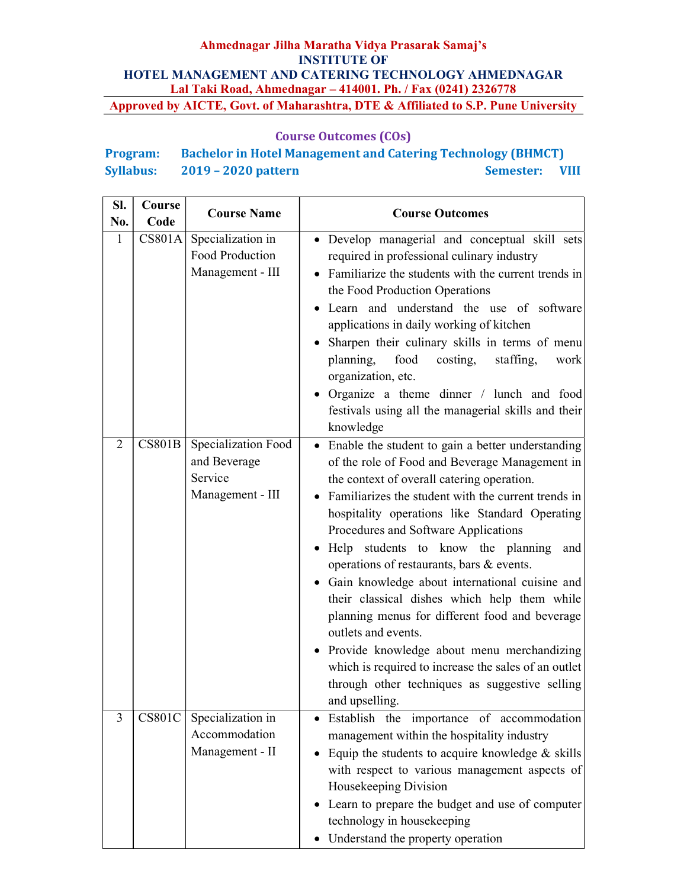| <b>Program:</b>  | <b>Bachelor in Hotel Management and Catering Technology (BHMCT)</b> |                |  |
|------------------|---------------------------------------------------------------------|----------------|--|
| <b>Syllabus:</b> | $2019 - 2020$ pattern                                               | Semester: VIII |  |

| SI.          | Course        | <b>Course Name</b>                                                 | <b>Course Outcomes</b>                                                                                                                                                                                                                                                                                                                                                                                                                                                                                                                                                                                                                                                                                                                                   |  |
|--------------|---------------|--------------------------------------------------------------------|----------------------------------------------------------------------------------------------------------------------------------------------------------------------------------------------------------------------------------------------------------------------------------------------------------------------------------------------------------------------------------------------------------------------------------------------------------------------------------------------------------------------------------------------------------------------------------------------------------------------------------------------------------------------------------------------------------------------------------------------------------|--|
| No.          | Code          |                                                                    |                                                                                                                                                                                                                                                                                                                                                                                                                                                                                                                                                                                                                                                                                                                                                          |  |
| $\mathbf{1}$ | <b>CS801A</b> | Specialization in<br>Food Production<br>Management - III           | · Develop managerial and conceptual skill sets<br>required in professional culinary industry<br>• Familiarize the students with the current trends in<br>the Food Production Operations<br>Learn and understand the use of software<br>applications in daily working of kitchen<br>Sharpen their culinary skills in terms of menu<br>food<br>planning,<br>costing,<br>staffing,<br>work<br>organization, etc.<br>• Organize a theme dinner / lunch and food<br>festivals using all the managerial skills and their<br>knowledge                                                                                                                                                                                                                          |  |
| 2            | CS801B        | Specialization Food<br>and Beverage<br>Service<br>Management - III | • Enable the student to gain a better understanding<br>of the role of Food and Beverage Management in<br>the context of overall catering operation.<br>• Familiarizes the student with the current trends in<br>hospitality operations like Standard Operating<br>Procedures and Software Applications<br>· Help students to know the planning and<br>operations of restaurants, bars & events.<br>• Gain knowledge about international cuisine and<br>their classical dishes which help them while<br>planning menus for different food and beverage<br>outlets and events.<br>• Provide knowledge about menu merchandizing<br>which is required to increase the sales of an outlet<br>through other techniques as suggestive selling<br>and upselling. |  |
| 3            | <b>CS801C</b> | Specialization in<br>Accommodation<br>Management - II              | Establish the importance of accommodation<br>management within the hospitality industry<br>Equip the students to acquire knowledge $\&$ skills<br>with respect to various management aspects of<br>Housekeeping Division<br>Learn to prepare the budget and use of computer<br>technology in housekeeping<br>Understand the property operation                                                                                                                                                                                                                                                                                                                                                                                                           |  |